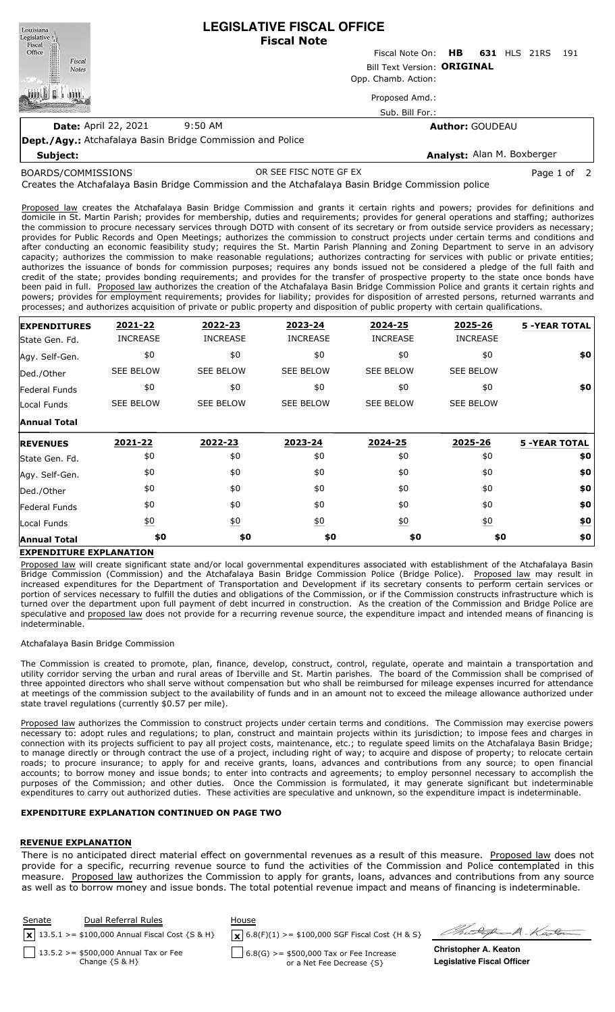**LEGISLATIVE FISCAL OFFICE** Louisiana Legislative<sup>1</sup> **Fiscal Note** Fiscal Office Fiscal Note On: **HB 631** HLS 21RS 191 Fiscal Bill Text Version: **ORIGINAL Notes** Opp. Chamb. Action: 밇 Proposed Amd.: Sub. Bill For.: **Author:** GOUDEAU

**Date:** April 22, 2021 9:50 AM **Dept./Agy.:** Atchafalaya Basin Bridge Commission and Police

**Analyst:** Alan M. Boxberger

**Subject:**

OR SEE FISC NOTE GF EX Page 1 of 2

Creates the Atchafalaya Basin Bridge Commission and the Atchafalaya Basin Bridge Commission police BOARDS/COMMISSIONS

Proposed law creates the Atchafalaya Basin Bridge Commission and grants it certain rights and powers; provides for definitions and domicile in St. Martin Parish; provides for membership, duties and requirements; provides for general operations and staffing; authorizes the commission to procure necessary services through DOTD with consent of its secretary or from outside service providers as necessary; provides for Public Records and Open Meetings; authorizes the commission to construct projects under certain terms and conditions and after conducting an economic feasibility study; requires the St. Martin Parish Planning and Zoning Department to serve in an advisory capacity; authorizes the commission to make reasonable regulations; authorizes contracting for services with public or private entities; authorizes the issuance of bonds for commission purposes; requires any bonds issued not be considered a pledge of the full faith and credit of the state; provides bonding requirements; and provides for the transfer of prospective property to the state once bonds have been paid in full. Proposed law authorizes the creation of the Atchafalaya Basin Bridge Commission Police and grants it certain rights and powers; provides for employment requirements; provides for liability; provides for disposition of arrested persons, returned warrants and processes; and authorizes acquisition of private or public property and disposition of public property with certain qualifications.

| <b>EXPENDITURES</b>  | 2021-22          | 2022-23           | 2023-24          | 2024-25          | 2025-26          | <b>5 -YEAR TOTAL</b> |
|----------------------|------------------|-------------------|------------------|------------------|------------------|----------------------|
| State Gen. Fd.       | <b>INCREASE</b>  | <b>INCREASE</b>   | <b>INCREASE</b>  | <b>INCREASE</b>  | <b>INCREASE</b>  |                      |
| Agy. Self-Gen.       | \$0              | \$0               | \$0              | \$0              | \$0              | \$0                  |
| Ded./Other           | <b>SEE BELOW</b> | <b>SEE BELOW</b>  | <b>SEE BELOW</b> | <b>SEE BELOW</b> | <b>SEE BELOW</b> |                      |
| <b>Federal Funds</b> | \$0              | \$0               | \$0              | \$0              | \$0              | \$0                  |
| Local Funds          | <b>SEE BELOW</b> | <b>SEE BELOW</b>  | <b>SEE BELOW</b> | <b>SEE BELOW</b> | <b>SEE BELOW</b> |                      |
| <b>Annual Total</b>  |                  |                   |                  |                  |                  |                      |
| <b>REVENUES</b>      | 2021-22          | 2022-23           | 2023-24          | 2024-25          | 2025-26          | <b>5 -YEAR TOTAL</b> |
| State Gen. Fd.       | \$0              | \$0               | \$0              | \$0              | \$0              | \$0                  |
| Agy. Self-Gen.       | \$0              | \$0               | \$0              | \$0              | \$0              | \$0                  |
| Ded./Other           | \$0              | \$0               | \$0              | \$0              | \$0              | \$0                  |
| Federal Funds        | \$0              | \$0               | \$0              | \$0              | \$0              | \$0                  |
| Local Funds          | $\underline{50}$ | $\underline{\$0}$ | $\underline{50}$ | $\underline{50}$ | $\underline{50}$ | <u>\$0</u>           |
| <b>Annual Total</b>  | \$0              | \$0               | \$0              | \$0              | \$0              | \$0                  |

# **EXPENDITURE EXPLANATION**

Proposed law will create significant state and/or local governmental expenditures associated with establishment of the Atchafalaya Basin Bridge Commission (Commission) and the Atchafalaya Basin Bridge Commission Police (Bridge Police). Proposed law may result in increased expenditures for the Department of Transportation and Development if its secretary consents to perform certain services or portion of services necessary to fulfill the duties and obligations of the Commission, or if the Commission constructs infrastructure which is turned over the department upon full payment of debt incurred in construction. As the creation of the Commission and Bridge Police are speculative and proposed law does not provide for a recurring revenue source, the expenditure impact and intended means of financing is indeterminable.

## Atchafalaya Basin Bridge Commission

The Commission is created to promote, plan, finance, develop, construct, control, regulate, operate and maintain a transportation and utility corridor serving the urban and rural areas of Iberville and St. Martin parishes. The board of the Commission shall be comprised of three appointed directors who shall serve without compensation but who shall be reimbursed for mileage expenses incurred for attendance at meetings of the commission subject to the availability of funds and in an amount not to exceed the mileage allowance authorized under state travel regulations (currently \$0.57 per mile).

Proposed law authorizes the Commission to construct projects under certain terms and conditions. The Commission may exercise powers necessary to: adopt rules and regulations; to plan, construct and maintain projects within its jurisdiction; to impose fees and charges in connection with its projects sufficient to pay all project costs, maintenance, etc.; to regulate speed limits on the Atchafalaya Basin Bridge; to manage directly or through contract the use of a project, including right of way; to acquire and dispose of property; to relocate certain roads; to procure insurance; to apply for and receive grants, loans, advances and contributions from any source; to open financial accounts; to borrow money and issue bonds; to enter into contracts and agreements; to employ personnel necessary to accomplish the purposes of the Commission; and other duties. Once the Commission is formulated, it may generate significant but indeterminable expenditures to carry out authorized duties. These activities are speculative and unknown, so the expenditure impact is indeterminable.

# **EXPENDITURE EXPLANATION CONTINUED ON PAGE TWO**

# **REVENUE EXPLANATION**

There is no anticipated direct material effect on governmental revenues as a result of this measure. Proposed law does not provide for a specific, recurring revenue source to fund the activities of the Commission and Police contemplated in this measure. Proposed law authorizes the Commission to apply for grants, loans, advances and contributions from any source as well as to borrow money and issue bonds. The total potential revenue impact and means of financing is indeterminable.

| Senate | Dual Referral Rules                                                 | House                                                                       |                                                                   |
|--------|---------------------------------------------------------------------|-----------------------------------------------------------------------------|-------------------------------------------------------------------|
|        | $\boxed{\mathbf{x}}$ 13.5.1 >= \$100,000 Annual Fiscal Cost {S & H} | $\mathbf{X}$ 6.8(F)(1) >= \$100,000 SGF Fiscal Cost {H & S}                 | Chicket A. Keo                                                    |
|        | 13.5.2 > = \$500,000 Annual Tax or Fee<br>Change $\{S \& H\}$       | $\Box$ 6.8(G) >= \$500,000 Tax or Fee Increase<br>or a Net Fee Decrease {S} | <b>Christopher A. Keaton</b><br><b>Legislative Fiscal Officer</b> |